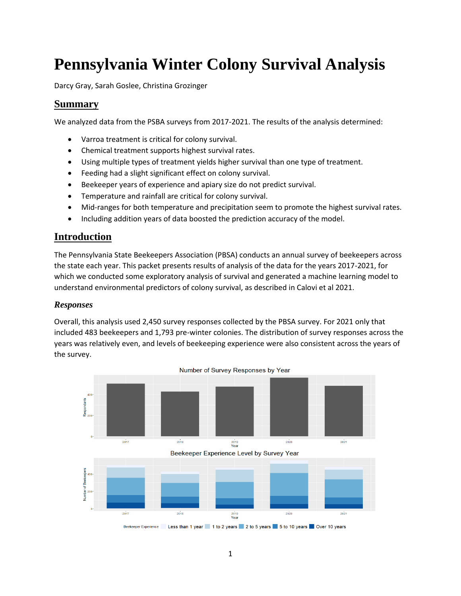# **Pennsylvania Winter Colony Survival Analysis**

Darcy Gray, Sarah Goslee, Christina Grozinger

### **Summary**

We analyzed data from the PSBA surveys from 2017-2021. The results of the analysis determined:

- Varroa treatment is critical for colony survival.
- Chemical treatment supports highest survival rates.
- Using multiple types of treatment yields higher survival than one type of treatment.
- Feeding had a slight significant effect on colony survival.
- Beekeeper years of experience and apiary size do not predict survival.
- Temperature and rainfall are critical for colony survival.
- Mid-ranges for both temperature and precipitation seem to promote the highest survival rates.
- Including addition years of data boosted the prediction accuracy of the model.

### **Introduction**

The Pennsylvania State Beekeepers Association (PBSA) conducts an annual survey of beekeepers across the state each year. This packet presents results of analysis of the data for the years 2017-2021, for which we conducted some exploratory analysis of survival and generated a machine learning model to understand environmental predictors of colony survival, as described in Calovi et al 2021.

#### *Responses*

Overall, this analysis used 2,450 survey responses collected by the PBSA survey. For 2021 only that included 483 beekeepers and 1,793 pre-winter colonies. The distribution of survey responses across the years was relatively even, and levels of beekeeping experience were also consistent across the years of the survey.

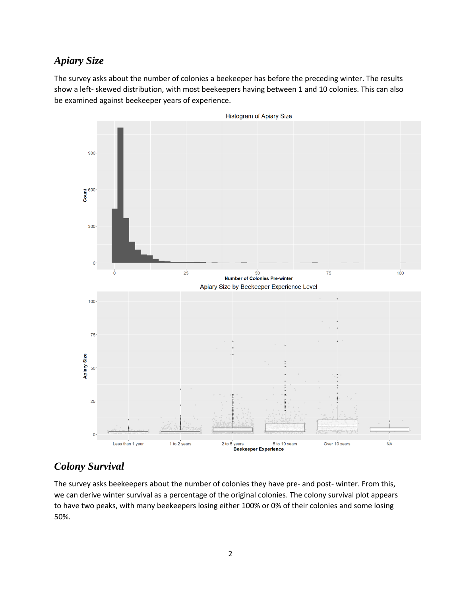# *Apiary Size*

The survey asks about the number of colonies a beekeeper has before the preceding winter. The results show a left- skewed distribution, with most beekeepers having between 1 and 10 colonies. This can also be examined against beekeeper years of experience.



### *Colony Survival*

The survey asks beekeepers about the number of colonies they have pre- and post- winter. From this, we can derive winter survival as a percentage of the original colonies. The colony survival plot appears to have two peaks, with many beekeepers losing either 100% or 0% of their colonies and some losing 50%.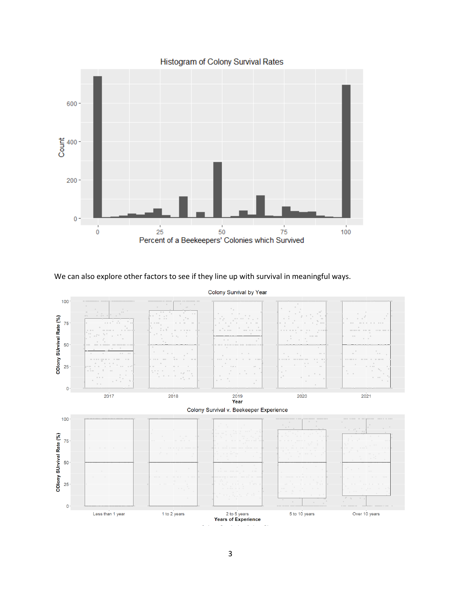

Histogram of Colony Survival Rates

We can also explore other factors to see if they line up with survival in meaningful ways.

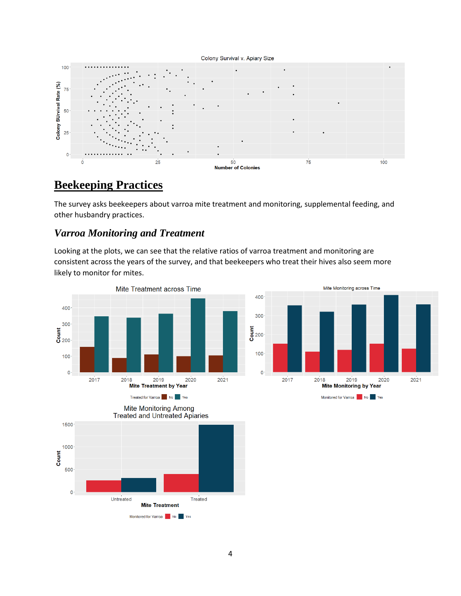#### Colony Survival v. Apiary Size



# **Beekeeping Practices**

The survey asks beekeepers about varroa mite treatment and monitoring, supplemental feeding, and other husbandry practices.

### *Varroa Monitoring and Treatment*

Looking at the plots, we can see that the relative ratios of varroa treatment and monitoring are consistent across the years of the survey, and that beekeepers who treat their hives also seem more likely to monitor for mites.



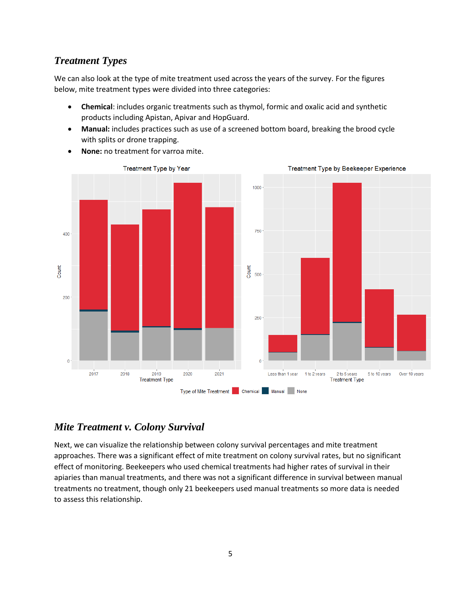# *Treatment Types*

We can also look at the type of mite treatment used across the years of the survey. For the figures below, mite treatment types were divided into three categories:

- **Chemical**: includes organic treatments such as thymol, formic and oxalic acid and synthetic products including Apistan, Apivar and HopGuard.
- **Manual:** includes practices such as use of a screened bottom board, breaking the brood cycle with splits or drone trapping.



• **None:** no treatment for varroa mite.

# *Mite Treatment v. Colony Survival*

Next, we can visualize the relationship between colony survival percentages and mite treatment approaches. There was a significant effect of mite treatment on colony survival rates, but no significant effect of monitoring. Beekeepers who used chemical treatments had higher rates of survival in their apiaries than manual treatments, and there was not a significant difference in survival between manual treatments no treatment, though only 21 beekeepers used manual treatments so more data is needed to assess this relationship.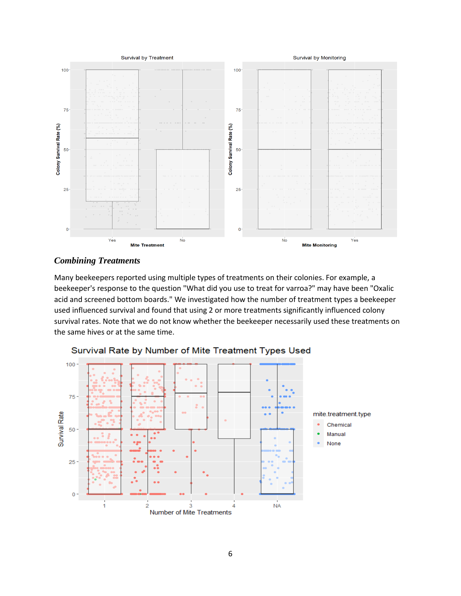

#### *Combining Treatments*

Many beekeepers reported using multiple types of treatments on their colonies. For example, a beekeeper's response to the question "What did you use to treat for varroa?" may have been "Oxalic acid and screened bottom boards." We investigated how the number of treatment types a beekeeper used influenced survival and found that using 2 or more treatments significantly influenced colony survival rates. Note that we do not know whether the beekeeper necessarily used these treatments on the same hives or at the same time.



Survival Rate by Number of Mite Treatment Types Used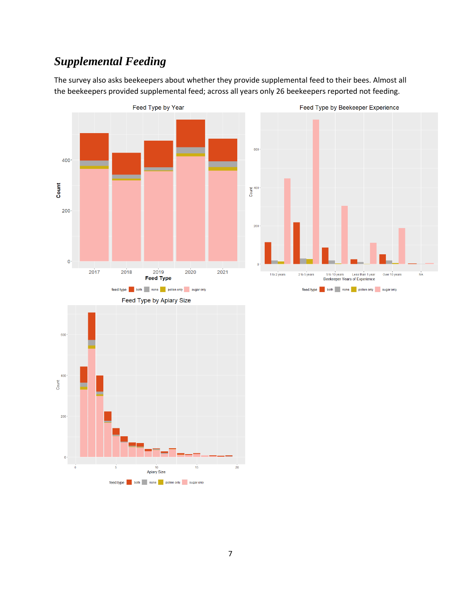# *Supplemental Feeding*

The survey also asks beekeepers about whether they provide supplemental feed to their bees. Almost all the beekeepers provided supplemental feed; across all years only 26 beekeepers reported not feeding.



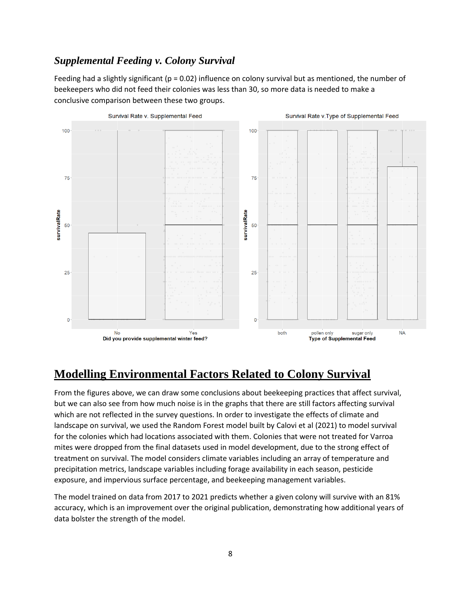# *Supplemental Feeding v. Colony Survival*

Feeding had a slightly significant ( $p = 0.02$ ) influence on colony survival but as mentioned, the number of beekeepers who did not feed their colonies was less than 30, so more data is needed to make a conclusive comparison between these two groups.



# **Modelling Environmental Factors Related to Colony Survival**

From the figures above, we can draw some conclusions about beekeeping practices that affect survival, but we can also see from how much noise is in the graphs that there are still factors affecting survival which are not reflected in the survey questions. In order to investigate the effects of climate and landscape on survival, we used the Random Forest model built by Calovi et al (2021) to model survival for the colonies which had locations associated with them. Colonies that were not treated for Varroa mites were dropped from the final datasets used in model development, due to the strong effect of treatment on survival. The model considers climate variables including an array of temperature and precipitation metrics, landscape variables including forage availability in each season, pesticide exposure, and impervious surface percentage, and beekeeping management variables.

The model trained on data from 2017 to 2021 predicts whether a given colony will survive with an 81% accuracy, which is an improvement over the original publication, demonstrating how additional years of data bolster the strength of the model.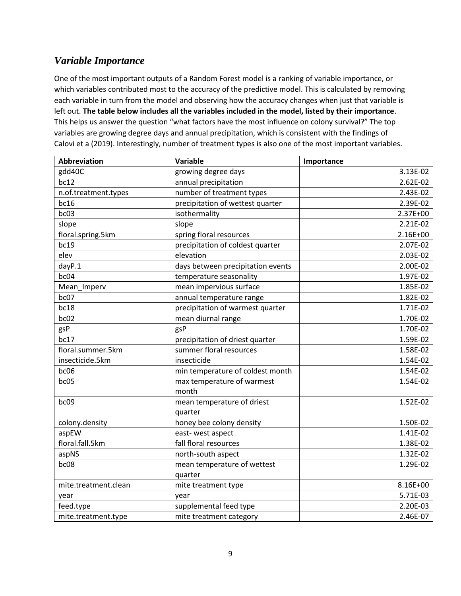# *Variable Importance*

One of the most important outputs of a Random Forest model is a ranking of variable importance, or which variables contributed most to the accuracy of the predictive model. This is calculated by removing each variable in turn from the model and observing how the accuracy changes when just that variable is left out. **The table below includes all the variables included in the model, listed by their importance**. This helps us answer the question "what factors have the most influence on colony survival?" The top variables are growing degree days and annual precipitation, which is consistent with the findings of Calovi et a (2019). Interestingly, number of treatment types is also one of the most important variables.

| <b>Abbreviation</b>  | Variable                          | Importance |
|----------------------|-----------------------------------|------------|
| gdd40C               | growing degree days               | 3.13E-02   |
| bc12                 | annual precipitation              | 2.62E-02   |
| n.of.treatment.types | number of treatment types         | 2.43E-02   |
| bc16                 | precipitation of wettest quarter  | 2.39E-02   |
| bc03                 | isothermality                     | 2.37E+00   |
| slope                | slope                             | 2.21E-02   |
| floral.spring.5km    | spring floral resources           | 2.16E+00   |
| bc19                 | precipitation of coldest quarter  | 2.07E-02   |
| elev                 | elevation                         | 2.03E-02   |
| dayP.1               | days between precipitation events | 2.00E-02   |
| bc04                 | temperature seasonality           | 1.97E-02   |
| Mean Imperv          | mean impervious surface           | 1.85E-02   |
| bc07                 | annual temperature range          | 1.82E-02   |
| bc18                 | precipitation of warmest quarter  | 1.71E-02   |
| bc02                 | mean diurnal range                | 1.70E-02   |
| gsP                  | gsP                               | 1.70E-02   |
| bc17                 | precipitation of driest quarter   | 1.59E-02   |
| floral.summer.5km    | summer floral resources           | 1.58E-02   |
| insecticide.5km      | insecticide                       | 1.54E-02   |
| bc06                 | min temperature of coldest month  | 1.54E-02   |
| bc05                 | max temperature of warmest        | 1.54E-02   |
|                      | month                             |            |
| bc09                 | mean temperature of driest        | 1.52E-02   |
|                      | quarter                           |            |
| colony.density       | honey bee colony density          | 1.50E-02   |
| aspEW                | east-west aspect                  | 1.41E-02   |
| floral.fall.5km      | fall floral resources             | 1.38E-02   |
| aspNS                | north-south aspect                | 1.32E-02   |
| bc08                 | mean temperature of wettest       | 1.29E-02   |
|                      | quarter                           |            |
| mite.treatment.clean | mite treatment type               | 8.16E+00   |
| year                 | year                              | 5.71E-03   |
| feed.type            | supplemental feed type            | 2.20E-03   |
| mite.treatment.type  | mite treatment category           | 2.46E-07   |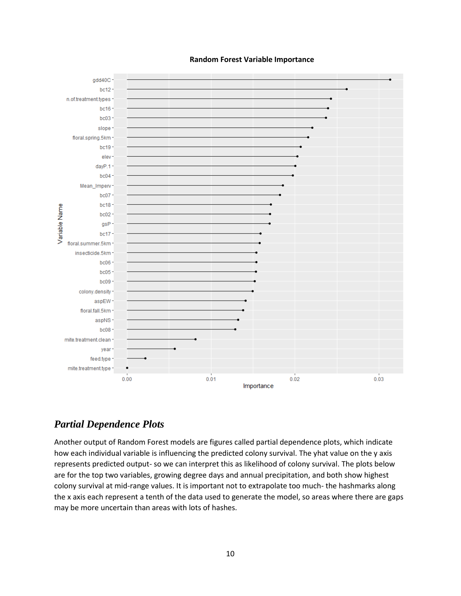**Random Forest Variable Importance** 



# *Partial Dependence Plots*

Another output of Random Forest models are figures called partial dependence plots, which indicate how each individual variable is influencing the predicted colony survival. The yhat value on the y axis represents predicted output- so we can interpret this as likelihood of colony survival. The plots below are for the top two variables, growing degree days and annual precipitation, and both show highest colony survival at mid-range values. It is important not to extrapolate too much- the hashmarks along the x axis each represent a tenth of the data used to generate the model, so areas where there are gaps may be more uncertain than areas with lots of hashes.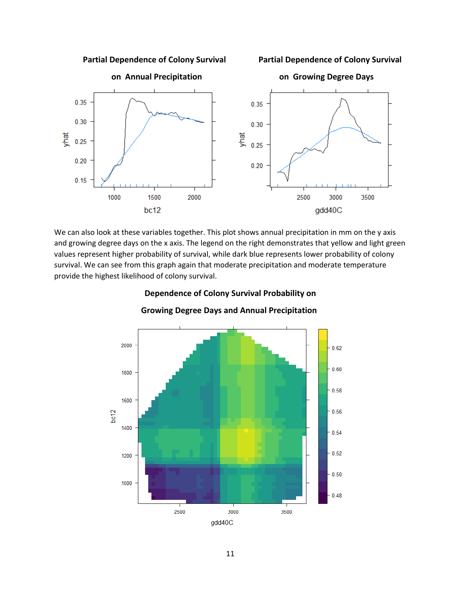**Partial Dependence of Colony Survival Partial Dependence of Colony Survival** 



We can also look at these variables together. This plot shows annual precipitation in mm on the y axis and growing degree days on the x axis. The legend on the right demonstrates that yellow and light green values represent higher probability of survival, while dark blue represents lower probability of colony survival. We can see from this graph again that moderate precipitation and moderate temperature provide the highest likelihood of colony survival.



#### **Dependence of Colony Survival Probability on**

 **Growing Degree Days and Annual Precipitation**